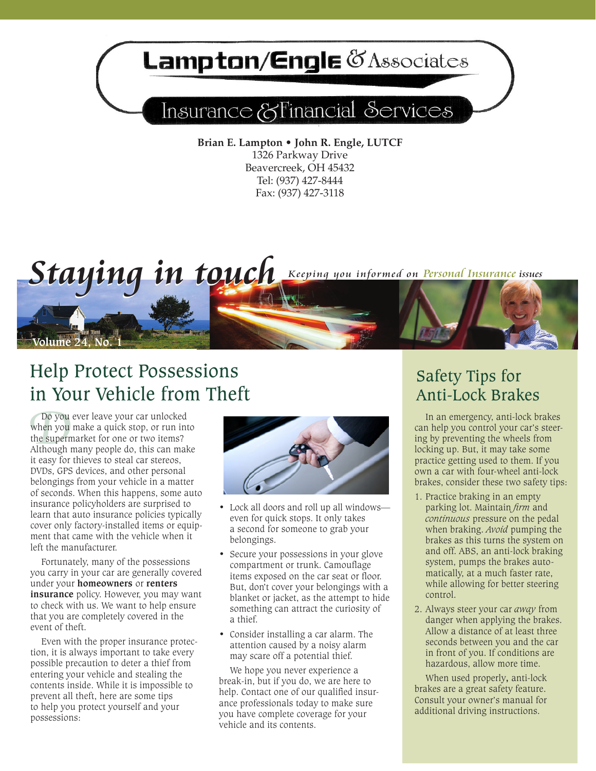# **ampton/Engle @Associates**

# Insurance & Financial Services

**Brian E. Lampton • John R. Engle, LUTCF** 1326 Parkway Drive Beavercreek, OH 45432 Tel: (937) 427-8444 Fax: (937) 427-3118



## Help Protect Possessions in Your Vehicle from Theft

Do you<br>when you<br>the superm<br>Although r Do you ever leave your car unlocked when you make a quick stop, or run into the supermarket for one or two items? Although many people do, this can make it easy for thieves to steal car stereos, DVDs, GPS devices, and other personal belongings from your vehicle in a matter of seconds. When this happens, some auto insurance policyholders are surprised to learn that auto insurance policies typically cover only factory-installed items or equipment that came with the vehicle when it left the manufacturer.

Fortunately, many of the possessions you carry in your car are generally covered under your **homeowners** or **renters insurance** policy. However, you may want to check with us. We want to help ensure that you are completely covered in the event of theft.

Even with the proper insurance protection, it is always important to take every possible precaution to deter a thief from entering your vehicle and stealing the contents inside. While it is impossible to prevent all theft, here are some tips to help you protect yourself and your possessions:



- Lock all doors and roll up all windows even for quick stops. It only takes a second for someone to grab your belongings.
- Secure your possessions in your glove compartment or trunk. Camouflage items exposed on the car seat or floor. But, don't cover your belongings with a blanket or jacket, as the attempt to hide something can attract the curiosity of a thief.
- Consider installing a car alarm. The attention caused by a noisy alarm may scare off a potential thief.

We hope you never experience a break-in, but if you do, we are here to help. Contact one of our qualified insurance professionals today to make sure you have complete coverage for your vehicle and its contents.

### Safety Tips for Anti-Lock Brakes

In an emergency, anti-lock brakes can help you control your car's steering by preventing the wheels from locking up. But, it may take some practice getting used to them. If you own a car with four-wheel anti-lock brakes, consider these two safety tips:

- 1. Practice braking in an empty parking lot. Maintain *firm* and *continuous* pressure on the pedal when braking. *Avoid* pumping the brakes as this turns the system on and off. ABS, an anti-lock braking system, pumps the brakes automatically, at a much faster rate, while allowing for better steering control.
- 2. Always steer your car *away* from danger when applying the brakes. Allow a distance of at least three seconds between you and the car in front of you. If conditions are hazardous, allow more time.

When used properly**,** anti-lock brakes are a great safety feature. Consult your owner's manual for additional driving instructions.